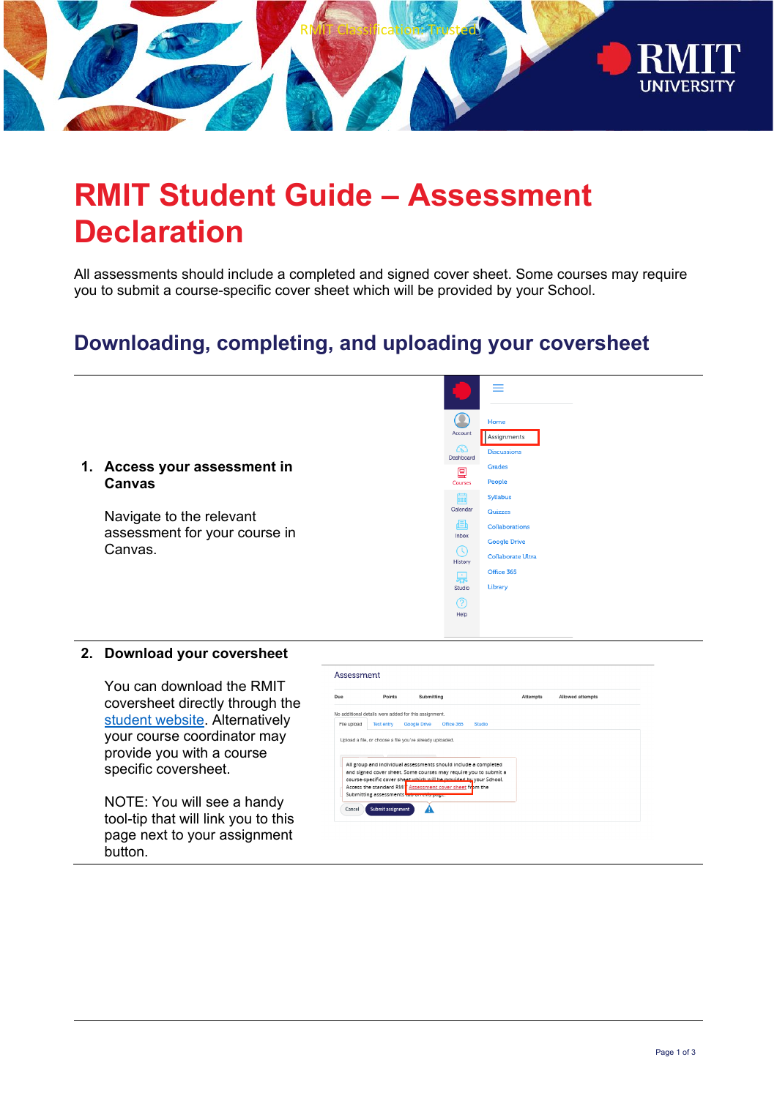

# **RMIT Student Guide – Assessment Declaration**

All assessments should include a completed and signed cover sheet. Some courses may require you to submit a course-specific cover sheet which will be provided by your School.

## **Downloading, completing, and uploading your coversheet**



#### **2. Download your coversheet**

You can download the RMIT coversheet directly through the [student website.](https://www.rmit.edu.au/content/dam/rmit/au/en/students/documents/my-course/assessment-results/assignment-cover-sheet-2022.pdf) Alternatively your course coordinator may provide you with a course specific coversheet.

NOTE: You will see a handy tool-tip that will link you to this page next to your assignment button.

| Due         | Points            | Submitting                                                      |        | <b>Attempts</b> | Allowed attempts |  |
|-------------|-------------------|-----------------------------------------------------------------|--------|-----------------|------------------|--|
|             |                   | No additional details were added for this assignment.           |        |                 |                  |  |
| File upload | <b>Text entry</b> | <b>Google Drive</b><br>Office 365                               | Studio |                 |                  |  |
|             |                   | All group and individual assessments should include a completed |        |                 |                  |  |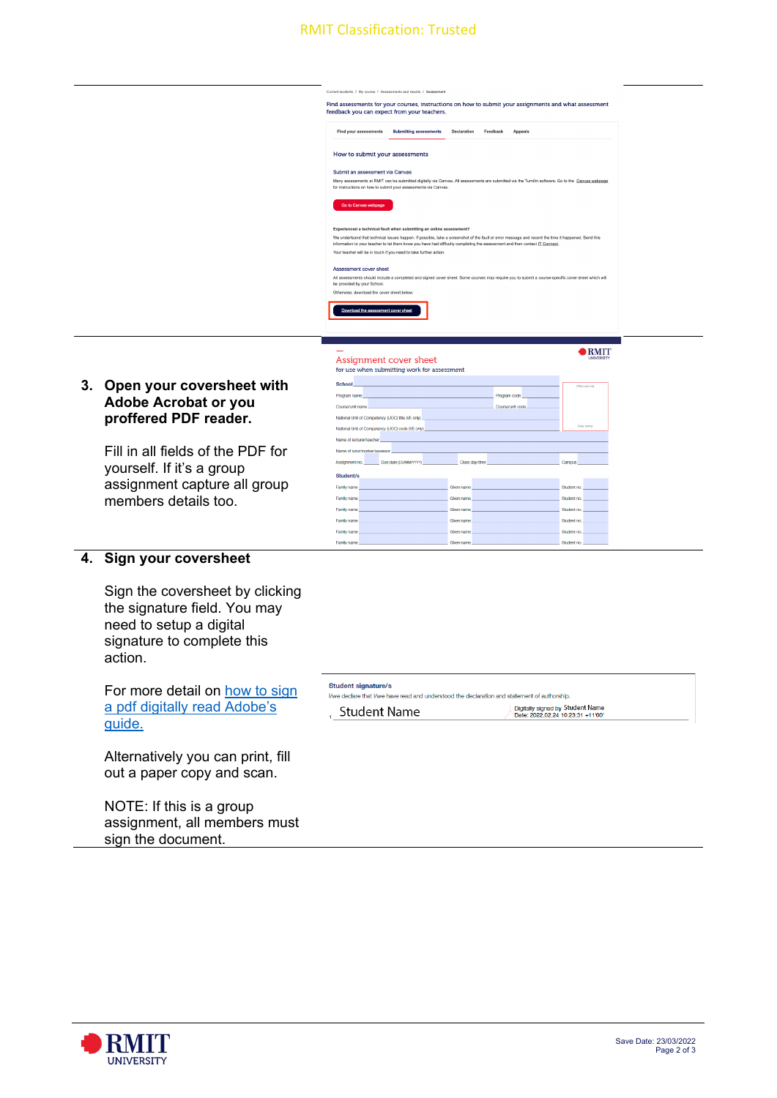### RMIT Classification: Trusted

|    |                                                                                   | Current students / My course / Assessments and results / Assessment                                                                                                                                                                                                                                                                                                                                                            |  |
|----|-----------------------------------------------------------------------------------|--------------------------------------------------------------------------------------------------------------------------------------------------------------------------------------------------------------------------------------------------------------------------------------------------------------------------------------------------------------------------------------------------------------------------------|--|
|    |                                                                                   | Find assessments for your courses, instructions on how to submit your assignments and what assessment<br>feedback you can expect from your teachers.                                                                                                                                                                                                                                                                           |  |
|    |                                                                                   | Find your assessments<br><b>Submitting assessments</b><br>Declaration<br>Feedback<br>Appeals                                                                                                                                                                                                                                                                                                                                   |  |
|    |                                                                                   | How to submit your assessments                                                                                                                                                                                                                                                                                                                                                                                                 |  |
|    |                                                                                   | Submit an assessment via Canvas<br>Many assessments at RMIT can be submitted digitally via Canvas. All assessments are submitted via the Turnitin software. Go to the Canvas webpage<br>for instructions on how to submit your assessments via Canvas.                                                                                                                                                                         |  |
|    |                                                                                   | Go to Canvas webpage                                                                                                                                                                                                                                                                                                                                                                                                           |  |
|    |                                                                                   | Experienced a technical fault when submitting an online assessment?<br>We undertsand that technical issues happen. If possible, take a screenshot of the fault or error message and record the time it happened. Send this<br>information to your teacher to let them know you have had difficulty completing the assessment and then contact IT Connect.<br>Your teacher will be in touch if you need to take further action. |  |
|    |                                                                                   | Assessment cover sheet<br>All assessments should include a completed and signed cover sheet. Some courses may require you to submit a course-specific cover sheet which will<br>be provided by your School.<br>Otherwise, download the cover sheet below.                                                                                                                                                                      |  |
|    |                                                                                   | Download the assessment cover sheet                                                                                                                                                                                                                                                                                                                                                                                            |  |
|    |                                                                                   | <b>BMIT</b><br>Assignment cover sheet<br><b>UNIVERSIT</b><br>for use when submitting work for assessment                                                                                                                                                                                                                                                                                                                       |  |
| 3. | Open your coversheet with<br><b>Adobe Acrobat or you</b><br>proffered PDF reader. | <b>School</b><br>Office use only<br>Program name<br>Program code<br>Course/unit name<br>Course/unit code<br>National Unit of Competency (UOC) title (VE only)                                                                                                                                                                                                                                                                  |  |
|    |                                                                                   | Data starre<br>National Unit of Competency (UOC) code (VE only)<br>Name of lecturer/teacher                                                                                                                                                                                                                                                                                                                                    |  |
|    | Fill in all fields of the PDF for<br>yourself. If it's a group                    | Name of tutor/marker/assessor<br>Assignment no.<br>Due date (DD/MM/YYYY)<br>Class day/time<br>Campus<br>Student/s                                                                                                                                                                                                                                                                                                              |  |
|    | assignment capture all group<br>members details too.                              | Family name<br>Given name<br>Student no.<br>Family name<br><b>Glyen name</b><br>Student no.<br>Family name<br>Glven name<br>Student no.                                                                                                                                                                                                                                                                                        |  |

Given name

Given name

### **4. Sign your coversheet**

Sign the coversheet by clicking the signature field. You may need to setup a digital signature to complete this action.

For more detail on how to sign [a pdf digitally read Adobe's](https://helpx.adobe.com/au/acrobat/using/signing-pdfs.html) [guide.](https://helpx.adobe.com/au/acrobat/using/signing-pdfs.html)

Alternatively you can print, fill out a paper copy and scan.

NOTE: If this is a group assignment, all members must sign the document.

#### **Student signature/s** I/we declare that I/we have read and understood the declaration and statement of authorship.

Family name Family name

Family name

, Student Name

Digitally signed by Student Name<br>Date: 2022.02.24 10:23:31 +11'00'

Student no.

Student no.